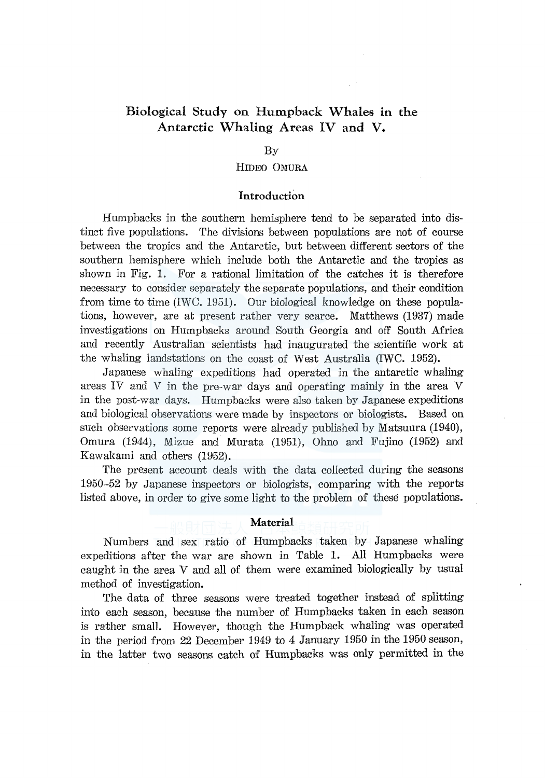# Biological Study on Humpback Whales in the Antarctic Whaling Areas IV and V.

#### By

#### HIDEO OMURA

# Introduction

Humpbacks in the southern hemisphere tend to be separated into distinct five populations. The divisions between populations are not of course between the tropics and the Antarctic, but between different sectors of the southern hemisphere which include both the Antarctic and the tropics as shown in Fig. 1. For a rational limitation of the catches it is therefore necessary to consider separately the separate populations, and their condition from time to time (IWC. 1951). Our biological knowledge on these populations, however, are at present rather very scarce. Matthews (1937) made investigations on Humpbacks around South Georgia and off South Africa and recently Australian scientists had inaugurated the scientific work at the whaling landstations on the coast of West Australia (IWC. 1952).

Japanese whaling expeditions had operated in the antarctic whaling areas IV and V in the pre-war days and operating mainly in the area V in the post-war days. Humpbacks were also taken by Japanese expeditions and biological observations were made by inspectors or biologists. Based on such observations some reports were already published by Matsuura (1940), Omura (1944), Mizue and Murata (1951), Ohno and Fujino (1952) and Kawakami and others (1952).

The present account deals with the data collected during the seasons 1950-52 by Japanese inspectors or biologists, comparing with the reports listed above, in order to give some light to the problem of these populations.

#### Material

Numbers and sex ratio of Humpbacks taken by Japanese whaling expeditions after the war are shown in Table 1. All Humpbacks were caught in the area V and all of them were examined biologically by usual method of investigation.

The data of three seasons were treated together instead of splitting into each season, because the number of Humpbacks taken in each season is rather small. However, though the Humpback whaling was operated in the period from 22 December 1949 to 4 January 1950 in the 1950 season, in the latter two seasons catch of Humpbacks was only permitted in the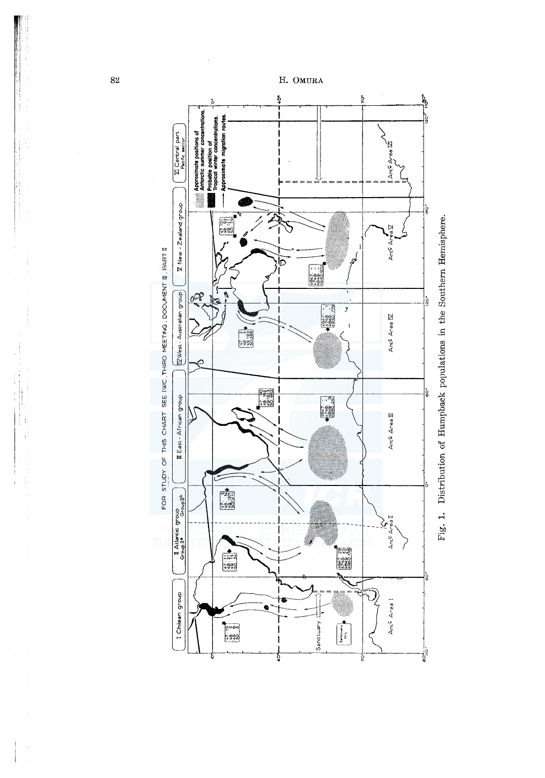

Fig. 1. Distribution of Humpback populations in the Southern Hemisphere.

82

÷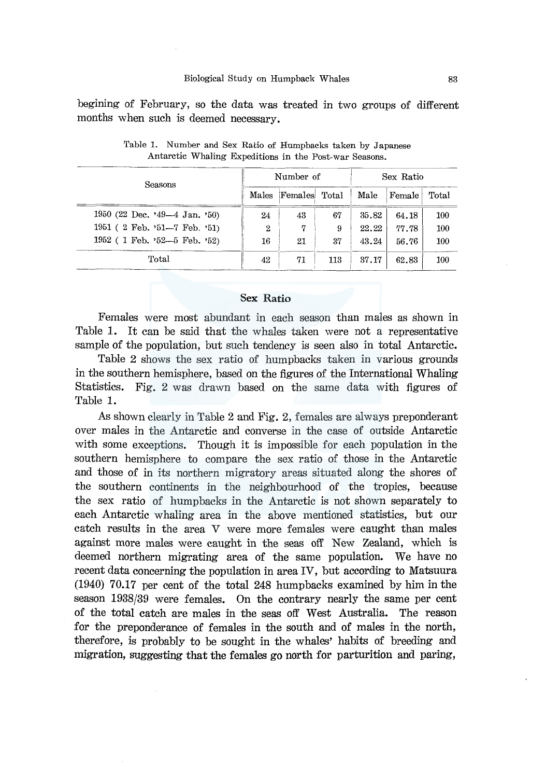begining of February, so the data was treated in two groups of different months when such is deemed necessary.

| Seasons                           |       | Number of |       | Sex Ratio |        |       |  |
|-----------------------------------|-------|-----------|-------|-----------|--------|-------|--|
|                                   | Males | Females   | Total | Male      | Female | Total |  |
| 1950 (22 Dec. $349-4$ Jan. $50$ ) | 24    | 43        | 67    | 35.82     | 64.18  | 100   |  |
| 1951 (2 Feb. '51-7 Feb. '51)      | 2     | 7         | 9     | 22.22     | 77.78  | 100   |  |
| 1952 (1 Feb. '52-5 Feb. '52)      | 16    | 21        | 37    | 43.24     | 56.76  | 100   |  |
| Total                             | 42    | 71        | 113   | 37.17     | 62.83  | 100   |  |

Table 1. Number and Sex Ratio of Humpbacks taken by Japanese Antarctic Whaling Expeditions in the Post-war Seasons.

### Sex Ratio

Females were most abundant in each season than males as shown in Table 1. It can be said that the whales taken were not a representative sample of the population, but such tendency is seen also in total Antarctic.

Table 2 shows the sex ratio of humpbacks taken in various grounds in the southern hemisphere, based on the figures of the International Whaling Statistics. Fig. 2 was drawn based on the same data with figures of Table 1.

As shown clearly in Table 2 and Fig. 2, females are always preponderant over males in the Antarctic and converse in the case of outside Antarctic with some exceptions. Though it is impossible for each population in the southern hemisphere to compare the sex ratio of those in the Antarctic and those of in its northern migratory areas situated along the shores of the southern continents in the neighbourhood of the tropics, because the sex ratio of humpbacks in the Antarctic is not shown separately to each Antarctic whaling area in the above mentioned statistics, but our catch results in the area V were more fem ales were caught than males against more males were caught in the seas off New Zealand, which is deemed northern migrating area of the same population. We have no recent data concerning the population in area IV, but according to Matsuura (1940) 70.17 per cent of the total 248 humpbacks examined by him in the season 1938/39 were females. On the contrary nearly the same per cent of the total catch are males in the seas off West Australia. The reason for the preponderance of females in the south and of males in the north, therefore, is probably to be sought in the whales' habits of breeding and migration, suggesting that the females go north for parturition and paring,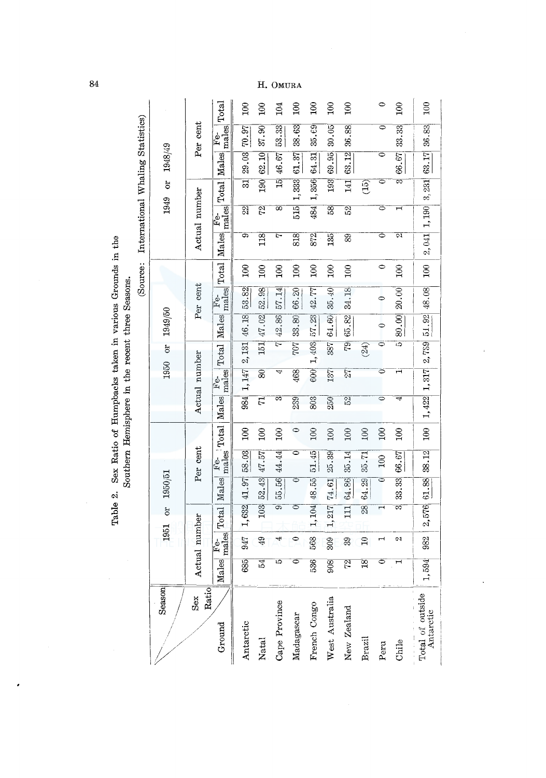|                                   |          |               | Total             | $\approx$               | $\approx$          | 104                 | $\mathfrak{g}$ | $\approx$    | $\approx$           | $\mathfrak{g}$ |                 | $\circ$            | 100                   | 100                                       |
|-----------------------------------|----------|---------------|-------------------|-------------------------|--------------------|---------------------|----------------|--------------|---------------------|----------------|-----------------|--------------------|-----------------------|-------------------------------------------|
| International Whaling Statistics) |          | Per cent      | Fe-<br>males      | 70.97                   | 37.90              | 53.33               | 38.63          | 35.69        | 30.05               | 36.88          |                 | 0                  | 33.33                 | 36.83                                     |
|                                   | 1948/49  |               | Males             | 29.03                   | 62.10              | 46.67               | 61.37          | 64.31        | 69.95               | 63.12          |                 |                    | 66.67                 | 63.17                                     |
|                                   | ò        |               | Total             | ವ                       | 190                | $\frac{15}{10}$     | 1,333          | 1,356        | 193                 | 141            | (15)            | ⊂                  | ಣ                     |                                           |
|                                   | 1949     | Actual number | $F_{\rm mals}$    | $\overline{\mathbb{S}}$ | 22                 | $\overline{\infty}$ | 515            | 484          | 58                  | 52             |                 | 0                  | ٦<br>۳                | $1,190\vert 3,231$                        |
|                                   |          |               | Males             | ශ                       | 118                | Ņ                   | 818            | 872          | 135                 | 89             |                 | 0                  | ल्ग                   | 2,041                                     |
| (Source:                          |          |               | Total             | $\approx$               | 100                | $\overline{100}$    | $\approx$      | $\approx$    | $\frac{5}{2}$       | 100            |                 | $\circ$            | $\approx$             | 100                                       |
|                                   |          | Per cent      | $F_{\text{mals}}$ | 53.82                   | 52.98              | 57.14               | 66.20          | 42.77        | 35.40               | 34.18          |                 | 0                  | 20.00                 | 48.08                                     |
|                                   | 1949/50  |               | Males             | 46.18                   | 47.02              | 42.86               | 33.80          | 57.23        | 64.60               | 65.82          |                 | 0                  | 80.00                 | 51.92                                     |
|                                   | $\delta$ |               | Total             | 2,131                   | 151                | ᡄ                   | 707            | 1,403        | 387                 | 79             | (24)            | 0                  | చ                     |                                           |
|                                   | 1950     | Actual number | males<br>Fe-      | 1,147                   | $\overline{\circ}$ | جا                  | 468            | 600          | 137                 | 27             |                 | 0                  | ᆔ                     | 1,422 1,317 2,759                         |
|                                   |          |               | Males             | 984                     | 71                 | ಣ                   | 239            | 803          | 250                 | 52             |                 | $\circ$            | 4                     |                                           |
|                                   |          |               | Total             | $\approx$               | 100                | $\approx$           | $\circ$        | 100          | 100                 | 100            | 100             | 100                | $\approx$             | 100                                       |
|                                   |          | Per cent      | Fe-<br>males      | 58.03                   | 47.57              | 44.44               | 0              | 51.45        | 25.39               | 35.14          | 35.71           | 100                | 66.67                 | <b>38.12</b>                              |
|                                   | 1950/51  |               | Males             | 41.97                   | 52.43              | 55.56               | ತ              | 48.55        | 74.61               | 64.86          | 64.29           | $\overline{\circ}$ | 33.33                 | 61.88                                     |
|                                   | ð        |               | Total             | 1,632                   | 103                | ತಾ                  | 0              | 1,104        | 217<br>$\mathbf{I}$ | 111            | $\overline{8}$  |                    | ನ್                    | 2,576                                     |
|                                   | 1951     | Actual number | males<br>Fφ       | 947                     | 49                 | 4                   | $\bullet$      | 568          | 309                 | 39             | $\mathbf{r}$    |                    | 21                    | 982                                       |
|                                   |          |               | [ales]<br>Þ       | 685                     | 24                 | ణ                   | ○              | 536          | 908                 | 72             | $\overline{18}$ | 0                  | $\mathord{\text{--}}$ | ,594                                      |
|                                   | Season   | Ratio<br>Sex  | Ground            | Antarctic               | <b>Natal</b>       | Cape Province       | Madagascar     | French Congo | West Australia      | New Zealand    | <b>Brazil</b>   | Peru               | Chile                 | Total of outside $\frac{}{\rm Antaretic}$ |

Table 2. Sex Ratio of Humpbacks taken in various Grounds in the Southern Hemisphere in the recent three Seasons.

84

# H. OMURA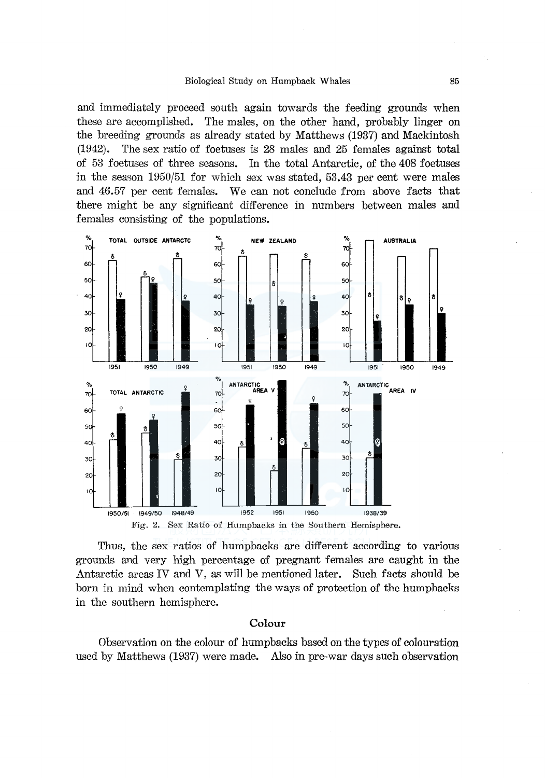#### Biological Study on Humpback Whales 85

and immediately proceed south again towards the feeding grounds when these are accomplished. The males, on the other hand, probably linger on the breeding grounds as already stated by Matthews (1937) and Mackintosh (1942). The sex ratio of foetuses is 28 males and 25 fem ales against total of 53 foetuses of three seasons. In the total Antarctic, of the 408 foetuses in the season 1950/51 for which sex was stated, 53.43 per cent were males and 46.57 per cent females. We can not conclude from above facts that there might be any significant difference in numbers between males and females consisting of the populations.



Thus, the sex ratios of humpbacks are different according to various grounds and very high percentage of pregnant females are caught in the Antarctic areas IV and V, as will be mentioned later. Such facts should be born in mind when contemplating the ways of protection of the humpbacks in the southern hemisphere.

# Colour

Observation on the colour of humpbacks based on the types of colouration used by Matthews (1937) were made. Also in pre-war days such observation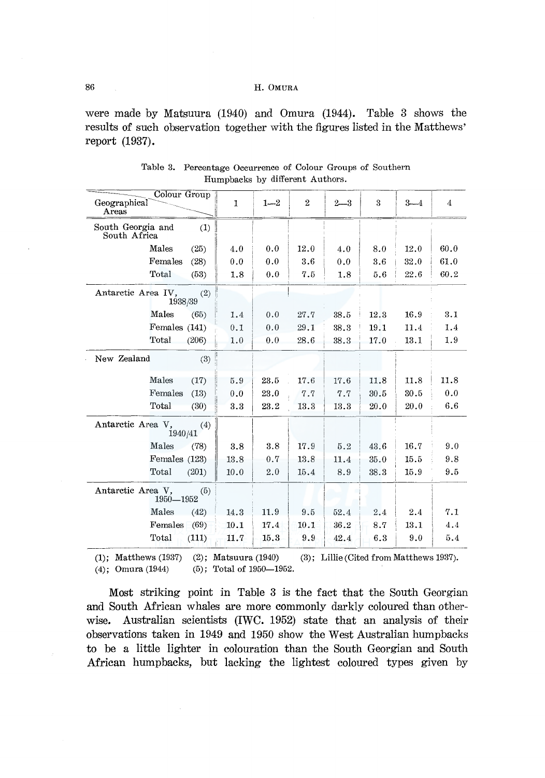were made by Matsuura (1940) and Omura (1944). Table 3 shows the results of such observation together with the figures listed in the Matthews' report (1937).

| Colour Group<br>Geographical<br>Areas |       | $\mathbf{I}$ | $1 - 2$ | $\mathbf{2}$ | $2 - 3$ | 3    | $3 - 4$ | 4    |
|---------------------------------------|-------|--------------|---------|--------------|---------|------|---------|------|
| South Georgia and<br>South Africa     | (1)   |              |         |              |         |      |         |      |
| Males                                 | (25)  | 4.0          | 0.0     | 12.0         | 4.0     | 8.0  | 12.0    | 60.0 |
| Females                               | (28)  | 0.0          | 0.0     | 3.6          | 0.0     | 3.6  | 32.0    | 61.0 |
| Total                                 | (53)  | 1.8          | 0.0     | 7.5          | 1.8     | 5.6  | 22.6    | 60.2 |
| Antarctic Area IV,<br>1938/39         | (2)   |              |         |              |         |      |         |      |
| Males                                 | (65)  | 1.4          | 0.0     | 27.7         | 38.5    | 12.3 | 16.9    | 3.1  |
| Females (141)                         |       | 0.1          | 0.0     | 29.1         | 38.3    | 19.1 | 11.4    | 1.4  |
| Total                                 | (206) | 1.0          | 0.0     | 28.6         | 38.3    | 17.0 | 13.1    | 1.9  |
| New Zealand                           | (3)   |              |         |              |         |      |         |      |
| Males                                 | (17)  | 5.9          | 23.5    | 17.6         | 17.6    | 11.8 | 11.8    | 11.8 |
| Females                               | (13)  | 0.0          | 23.0    | 7.7          | 7.7     | 30.5 | 30.5    | 0.0  |
| Total                                 | (30)  | 3.3          | 23.2    | 13.3         | 13.3    | 20.0 | 20.0    | 6.6  |
| Antarctic Area V,<br>1940/41          | (4)   |              |         |              |         |      |         |      |
| Males                                 | (78)  | 3.8          | 3.8     | 17.9         | 5.2     | 43.6 | 16.7    | 9.0  |
| Females (123)                         |       | 13.8         | 0.7     | 13.8         | 11.4    | 35.0 | 15.5    | 9.8  |
| Total                                 | (201) | 10.0         | 2.0     | 15.4         | 8.9     | 38.3 | 15.9    | 9.5  |
| Antarctic Area V.<br>$1950\!-\!1952$  | (5)   |              |         |              |         |      |         |      |
| Males                                 | (42)  | 14.3         | 11.9    | 9.5          | 52.4    | 2.4  | 2.4     | 7.1  |
| Females                               | (69)  | 10.1         | 17.4    | 10.1         | 36.2    | 8.7  | 13.1    | 4.4  |
| Total                                 | (111) | 11.7         | 15.3    | 9.9          | 42.4    | 6.3  | 9.0     | 5.4  |

Table 3. Percentage Occurrence of Colour Groups of Southern Humpbacks by different Authors.

(1); Matthews (1937) (2); Matsuura (1940) (4); Omura (1944)  $(3)$ ; Lillie (Cited from Matthews 1937). (5); Total of 1950-1952.

Most striking point in Table 3 is the fact that the South Georgian and South African whales are more commonly darkly coloured than otherwise. Australian scientists (IWC. 1952) state that an analysis of their observations taken in 1949 and 1950 show the West Australian humpbacks to be a little lighter in colouration than the South Georgian and South African humpbacks, but lacking the lightest coloured types given by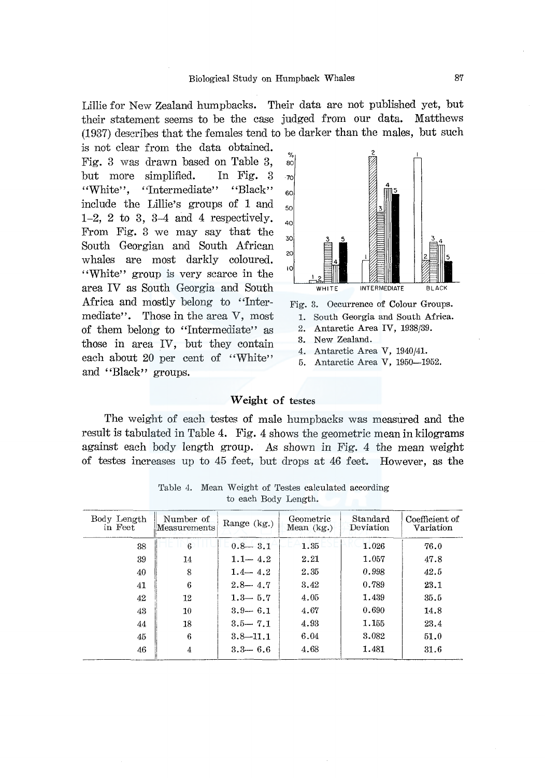Lillie for New Zealand humpbacks. Their data are not published yet, but their statement seems to be the case judged from our data. Matthews (1937) describes that the females tend to be darker than the males, but such

is not clear from the data obtained. Fig. 3 was drawn based on Table 3, but more simplified. In Fig. 3 "White", "Intermediate" "Black" include the Lillie's groups of 1 and 1-2, 2 to 3, 3-4 and 4 respectively. From Fig. 3 we may say that the South Georgian and South African whales are most darkly coloured. ''White'' group is very scarce in the area IV as South Georgia and South Africa and mostly belong to "Intermediate". Those in the area V, most of them belong to "Intermediate" as those in area IV, but they contain each about 20 per cent of "White" and "Black" groups.



- 1. South Georgia and South Africa.
- 2. Antarctic Area IV, 1938/39.
- 3. New Zealand.
- 4. Antarctic Area V, 1940/41.
- 5. Antarctic Area V, 1950-1952.

### **Weight** of testes

The weight of each testes of male humpbacks was measured and the result is tabulated in Table 4. Fig. 4 shows the geometric mean in kilograms against each body length group. As shown in Fig. 4 the mean weight of testes increases up to 45 feet, but drops at 46 feet. However, as the

| Body Length<br>in Feet | Number of<br>Measurements | Range (kg.)  | Geometric<br>Mean $(kg.)$ | Standard<br>Deviation | Coefficient of<br>Variation |
|------------------------|---------------------------|--------------|---------------------------|-----------------------|-----------------------------|
| 38                     | 6                         | $0.8 - 3.1$  | 1.35                      | 1.026                 | 76.0                        |
| 39                     | 14                        | $1.1 - 4.2$  | 2.21                      | 1.057                 | 47.8                        |
| 40                     | 8                         | $1.4 - 4.2$  | 2.35                      | 0.998                 | 42.5                        |
| 41                     | 6                         | $2.8 - 4.7$  | 3.42                      | 0.789                 | 23.1                        |
| 42                     | 12                        | $1.3 - 5.7$  | 4.05                      | 1.439                 | 35.5                        |
| 43                     | 10                        | $3.9 - 6.1$  | 4.67                      | 0.690                 | 14.8                        |
| 44                     | 18                        | $3.5 - 7.1$  | 4.93                      | 1.155                 | 23.4                        |
| 45                     | 6                         | $3.8 - 11.1$ | 6.04                      | 3.082                 | 51.0                        |
| 46                     | 4                         | $3.3 - 6.6$  | 4.68                      | 1.481                 | 31.6                        |

Table 4. Mean Weight of Testes calculated according to each Body Length.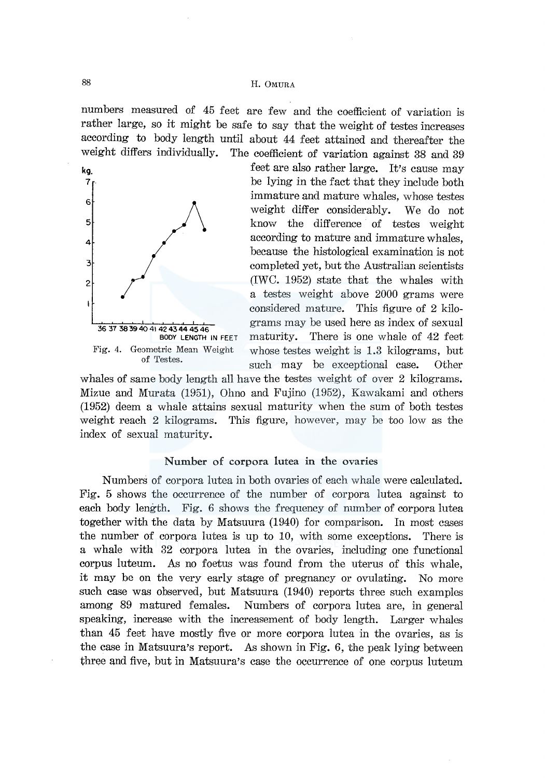numbers measured of 45 feet are few and the coefficient of variation is rather large, so it might be safe to say that the weight of testes increases according to body length until about 44 feet attained and thereafter the weight differs individually. The coefficient of variation against 38 and 39



kg, the state also rather large. It's cause may 7 . be lying in the fact that they include both immature and mature whales, whose testes weight differ considerably. We do not know the difference of testes weight according to mature and immature whales, because the histological examination is not completed yet, but the Australian scientists (IWC. 1952) state that the whales with a testes weight above 2000 grams were considered mature. This figure of 2 kilograms may be used here as index of sexual maturity. There is one whale of 42 feet whose testes weight is 1.3 kilograms, but such may be exceptional case. Other

whales of same body length all have the testes weight of over 2 kilograms. Mizue and Murata (1951), Ohno and Fujino (1952), Kawakami and others (1952) deem a whale attains sexual maturity when the sum of both testes weight reach 2 kilograms. This figure, however, may be too low as the index of sexual maturity.

#### Number of corpora lutea in the ovaries

Numbers of corpora lutea in both ovaries of each whale were calculated. Fig. 5 shows the occurrence of the number of corpora lutea against to each body length. Fig. 6 shows the frequency of number of corpora lutea together with the data by Matsuura (1940) for comparison. In most cases the number of corpora lutea is up to 10, with some exceptions. There is a whale with 32 corpora lutea in the ovaries, including one functional corpus luteum. As no foetus was found from the uterus of this whale, it may be on the very early stage of pregnancy or ovulating. No more such case was observed, but Matsuura (1940) reports three such examples among 89 matured females. Numbers of corpora lutea are, in general speaking, increase with the increasement of body length. Larger whales than 45 feet have mostly five or more corpora lutea in the ovaries, as is the case in Matsuura's report. As shown in Fig. 6, the peak lying between three and five, but in Matsuura's case the occurrence of one corpus luteum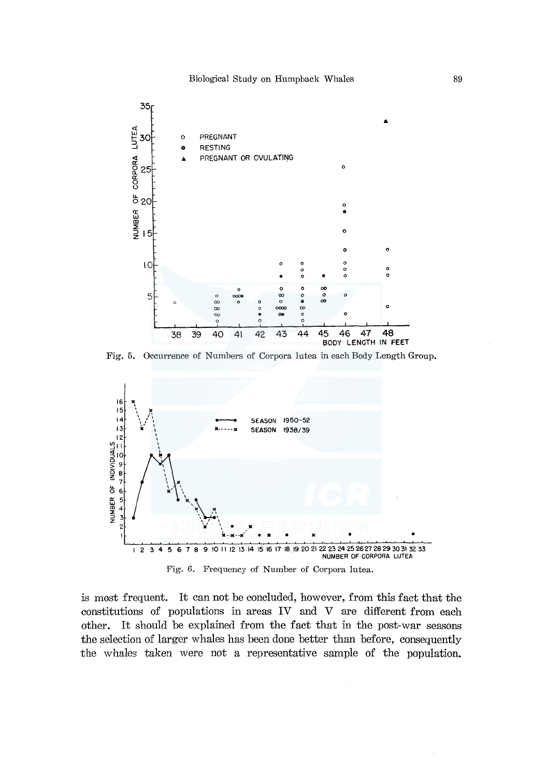

Fig. 5. Occurrence of Numbers of Corpora lutea in each Body Length Group.



is most frequent. It can not be concluded, however, from this fact that the constitutions of populations in areas IV and V are different from each other. It should be explained from the fact that in the post-war seasons the selection of larger whales has been done better than before, consequently the whales taken were not a representative sample of the population.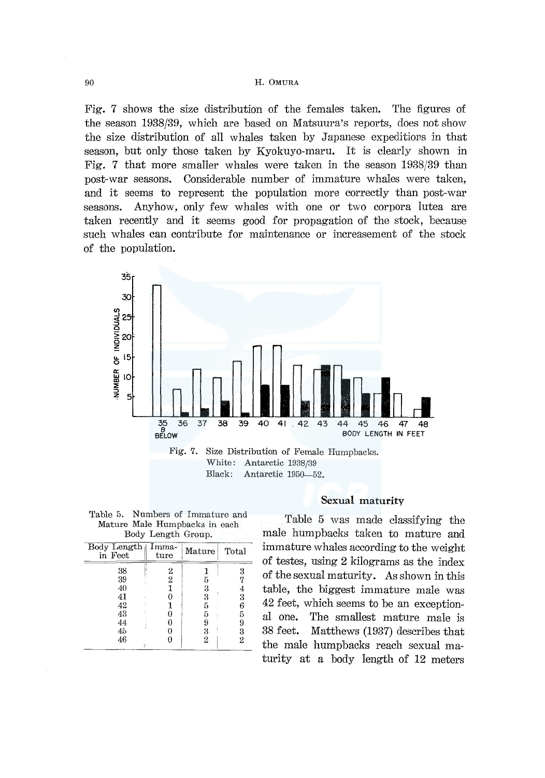Fig. 7 shows the size distribution of the females taken. The figures of the season 1938/39, which are based on Matsuura's reports, does not show the size distribution of all whales taken by Japanese expeditions in that season, but only those taken by Kyokuyo-maru. It is clearly shown in Fig. 7 that more smaller whales were taken in the season 1938/39 than post-war seasons. Considerable number of immature whales were taken, and it seems to represent the population more correctly than post-war seasons. Anyhow, only few whales with one or two corpora lutea are taken recently and it seems good for propagation of the stock, because such whales can contribute for maintenance or increasement of the stock of the population.



| Table 5. Numbers of Immature and |
|----------------------------------|
| Mature Male Humpbacks in each    |
| Body Length Group.               |

| Mature | Total |
|--------|-------|
|        | 3     |
| 5      |       |
| 3      |       |
| 3      | 3     |
| 5      | 6     |
| 5      | 5     |
|        | 9     |
|        | 3     |
| 2      | 2     |
|        |       |

## Sexual maturity

Table 5 was made classifying the male humpbacks taken to mature and immature whales according to the weight of testes, using 2 kilograms as the index of the sexual maturity. As shown in this table, the biggest immature male was 42 feet, which seems to be an exceptional one. The smallest mature male is 38 feet. Matthews (1937) describes that the male humpbacks reach sexual maturity at a body length of 12 meters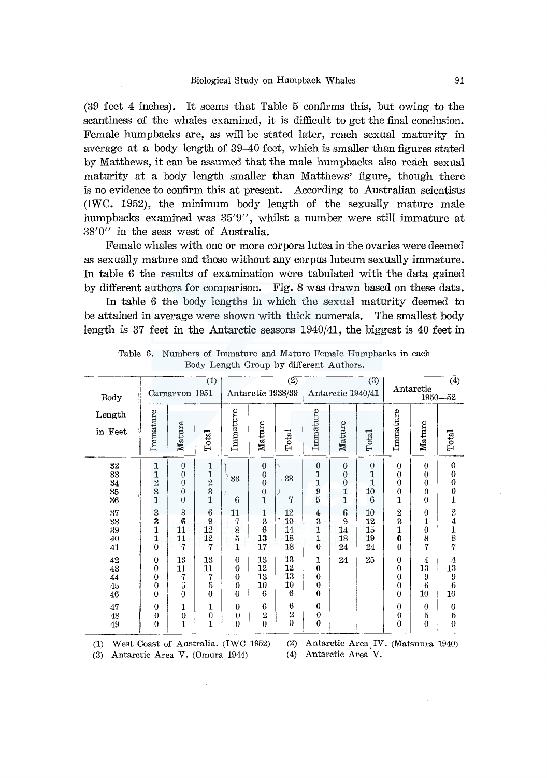(39 feet 4 inches). It seems that Table 5 confirms this, but owing to the scantiness of the whales examined, it is difficult to get the final conclusion. Female humpbacks are, as will be stated later, reach sexual maturity in average at a body length of 39-40 feet, which is smaller than figures stated by Matthews, it can be assumed that the male humpbacks also reach sexual maturity at a body length smaller than Matthews' figure, though there is no evidence to confirm this at present. According to Australian scientists (IWC. 1952), the minimum body length of the sexually mature male humpbacks examined was 35'9", whilst a number were still immature at 38'0" in the seas west of Australia.

Female whales with one or more corpora lutea in the ovaries were deemed as sexually mature and those without any corpus luteum sexually immature. In table 6 the results of examination were tabulated with the data gained by different authors for comparison. Fig. 8 was drawn based on these data. In table 6 the body lengths in which the sexual maturity deemed to be attained in average were shown with thick numerals. The smallest body length is 37 feet in the Antarctic seasons 1940/41, the biggest is 40 feet in

|                                                             |                                                                  |                                                                            | (1)                                                  |                                                                                          |                                                                                                                | $\overline{(2)}$          |                                                                                     |                                                                | (3)                                                            |                                                                                                               |                                                                                         | $\overline{(4)}$                                                                                            |
|-------------------------------------------------------------|------------------------------------------------------------------|----------------------------------------------------------------------------|------------------------------------------------------|------------------------------------------------------------------------------------------|----------------------------------------------------------------------------------------------------------------|---------------------------|-------------------------------------------------------------------------------------|----------------------------------------------------------------|----------------------------------------------------------------|---------------------------------------------------------------------------------------------------------------|-----------------------------------------------------------------------------------------|-------------------------------------------------------------------------------------------------------------|
| Body                                                        |                                                                  | Carnarvon 1951                                                             |                                                      |                                                                                          | Antarctic 1938/39                                                                                              |                           |                                                                                     | Antarctic 1940/41                                              |                                                                |                                                                                                               | Antarctic                                                                               | $1950 - 52$                                                                                                 |
| Length<br>in Feet                                           | Immature                                                         | Mature                                                                     | Total                                                | Immature                                                                                 | Mature                                                                                                         | Total                     | Immature                                                                            | Mature                                                         | Total                                                          | Immature                                                                                                      | Mature                                                                                  | Total                                                                                                       |
| $\frac{32}{33}$<br>$\frac{34}{35}$<br>37<br>$\frac{38}{39}$ | 1<br>$\frac{1}{2}$ $\frac{2}{3}$ $\frac{1}{1}$<br>$\frac{3}{1}$  | $\bf{0}$<br>$\theta$<br>$\boldsymbol{0}$<br>$\theta$<br>$\theta$<br>3<br>6 | $\mathbf 1$<br>$\frac{1}{2}$ $\frac{3}{1}$<br>6<br>9 | 33<br>6<br>11<br>7                                                                       | $\boldsymbol{0}$<br>$\begin{smallmatrix} 0\\0 \end{smallmatrix}$<br>$\boldsymbol{0}$<br>$\mathbf{1}$<br>1<br>3 | 33<br>7<br>12<br>10       | $\boldsymbol{0}$<br>$\frac{1}{1}$ $\frac{1}{9}$ $\frac{1}{5}$<br>4<br>$\frac{5}{1}$ | $\theta$<br>$\overline{0}$<br>$\mathbf{0}$<br>1<br>1<br>6<br>9 | $\boldsymbol{0}$<br>1<br>$\overline{1}$<br>10<br>6<br>10<br>12 | $\bf{0}$<br>$\bf{0}$<br>$\bf{0}$<br>$\boldsymbol{0}$<br>$\mathbf{1}$<br>$\overline{2}$<br>$\overline{\bf{3}}$ | $\boldsymbol{0}$<br>$\bf{0}$<br>$\overline{0}$<br>$\theta$<br>$\theta$<br>$\theta$<br>1 | $\boldsymbol{0}$<br>$\boldsymbol{0}$<br>$\mathbf 0$<br>$\boldsymbol{0}$<br>$\mathbf{1}$<br>$\boldsymbol{2}$ |
| 40<br>41                                                    | 1<br>$\bf{0}$                                                    | 11<br>11<br>7                                                              | 12<br>12<br>$\overline{7}$                           | 8<br>5<br>$\mathbf{1}$                                                                   | 6<br>13<br>17                                                                                                  | 14<br>18<br>18            | $\frac{1}{0}$                                                                       | 14<br>18<br>24                                                 | 15<br>19<br>24                                                 | 1<br>$\bf{0}$<br>$\bf{0}$                                                                                     | $\overline{0}$<br>8<br>7                                                                | $\frac{4}{18}$                                                                                              |
| 42<br>$\overline{43}$<br>44<br>$\overline{45}$<br>46        | $\bf{0}$<br>$\boldsymbol{0}$<br>$\bf{0}$<br>$\bf{0}$<br>$\theta$ | 13<br>11<br>7<br>5<br>$\theta$                                             | 13<br>11<br>7<br>5<br>$\theta$                       | $\mathbf{0}$<br>$\boldsymbol{0}$<br>$\overline{0}$<br>$\overline{0}$<br>$\boldsymbol{0}$ | 13<br>12<br>13<br>10<br>6                                                                                      | 13<br>12<br>13<br>10<br>6 | 1<br>$\boldsymbol{0}$<br>$\boldsymbol{0}$<br>$\bf{0}$<br>$\bf{0}$                   | 24                                                             | 25                                                             | $\boldsymbol{0}$<br>$\bf{0}$<br>$\mathbf 0$<br>$\overline{0}$<br>$\bf{0}$                                     | 4<br>13<br>9<br>6<br>10                                                                 | 4<br>13<br>$\boldsymbol{9}$<br>6<br>10                                                                      |
| 47<br>$\frac{48}{49}$                                       | $\theta$<br>$\boldsymbol{0}$<br>$\theta$                         | 1<br>$\boldsymbol{0}$<br>$\mathbf{I}$                                      | 1<br>$\boldsymbol{0}$<br>$\mathbf{1}$                | $\bf{0}$<br>$\bf{0}$<br>$\theta$                                                         | $\boldsymbol{6}$<br>$\overline{2}$<br>$\overline{0}$                                                           | 6<br>$\frac{2}{0}$        | $\boldsymbol{0}$<br>$\boldsymbol{0}$<br>$\boldsymbol{0}$                            |                                                                |                                                                | $\boldsymbol{0}$<br>$\boldsymbol{0}$<br>$\bf{0}$                                                              | $\theta$<br>5<br>$\boldsymbol{0}$                                                       | $\theta$<br>$\begin{matrix}5\\0\end{matrix}$                                                                |

Table 6. Numbers of Immature and Mature Female Humpbacks in each Body Length Group by different Authors.

(1) West Coast of Australia. (IWC 1952) (3) Antarctic Area V. (Omura 1944)

(2) Antarctic Area\_IV. (Matsuura 1940) (4) Antarctic Area V.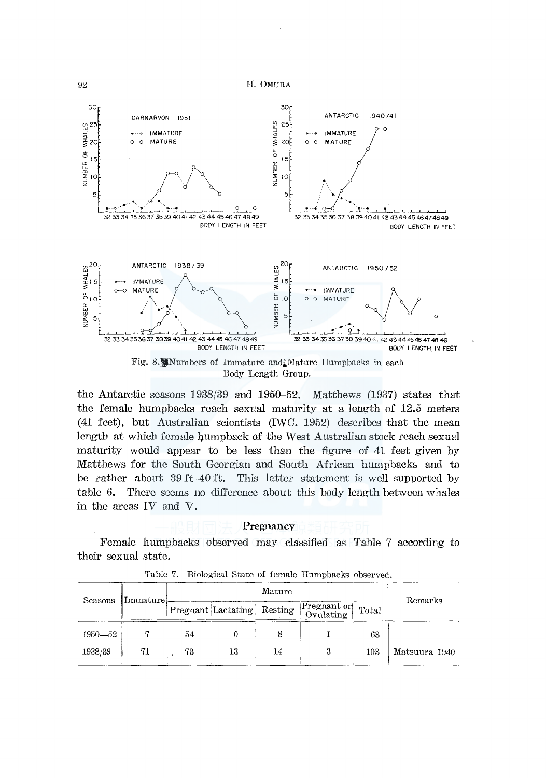

Body Length Group.

the Antarctic seasons 1938/39 and 1950-52. Matthews (1937) states that the female humpbacks reach sexual maturity at a length of 12.5 meters (41 feet), but Australian scientists (IWC. 1952) describes that the mean length at which female humpback of the West Australian stock reach sexual maturity would appear to be less than the figure of 41 feet given by Matthews for the South Georgian and South African humpbacks and to be rather about 39 ft-40 ft. This latter statement is well supported by table 6. There seems no difference about this body length between whales in the areas IV and V.

#### Pregnancy

Female humpbacks observed may classified as Table 7 according to their sexual state.

| Seasons     | Immature |                    | Remarks |         |                                 |       |               |  |
|-------------|----------|--------------------|---------|---------|---------------------------------|-------|---------------|--|
|             |          | Pregnant Lactating |         | Resting | <b>Pregnant or</b><br>Ovulating | Total |               |  |
| $1950 - 52$ |          | 54                 |         |         |                                 | 63    |               |  |
| 1938/39     | 71       | 73                 | 13      | 14      | 3                               | 103   | Matsuura 1940 |  |

Table 7. Biological State of female Humpbacks observed.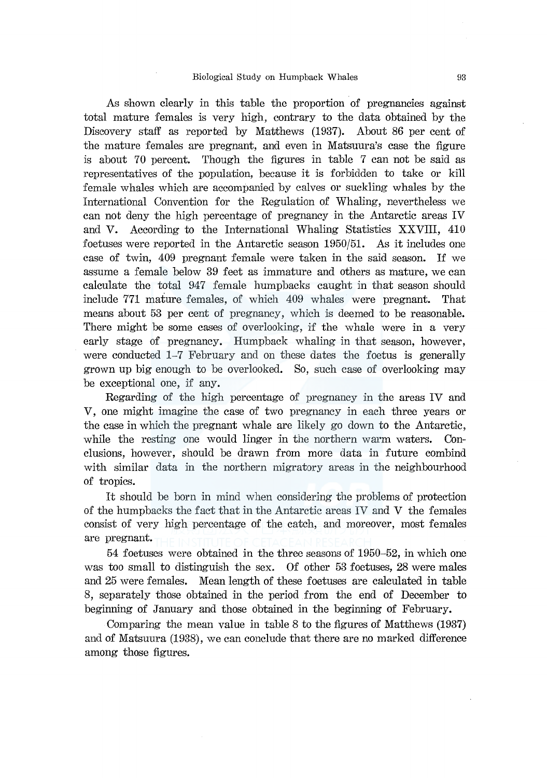As shown clearly in this table the proportion of pregnancies against total mature females is very high, contrary to the data obtained by the Discovery staff as reported by Matthews (1937). About 86 per cent of the mature females are pregnant, and even in Matsuura's case the figure is about 70 percent. Though the figures in table 7 can not be said as representatives of the population, because it is forbidden to take or kill female whales which are accompanied by calves or suckling whales by the International Convention for the Regulation of Whaling, nevertheless we can not deny the high percentage of pregnancy in the Antarctic areas IV and V. According to the International Whaling Statistics XXVIII, 410 foetuses were reported in the Antarctic season 1950/51. As it includes one case of twin, 409 pregnant female were taken in the said season. If we assume a fem ale below 39 feet as immature and others as mature, we can calculate the total 947 female humpbacks caught in that season should include 771 mature females, of which 409 whales were pregnant. That means about 53 per cent of pregnancy, which is deemed to be reasonable. There might be some cases of overlooking, if the whale were in a very early stage of pregnancy. Humpback whaling in that season, however, were conducted 1-7 February and on these dates the foetus is generally grown up big enough to be overlooked. So, such case of overlooking may be exceptional one, if any.

Regarding of the high percentage of pregnancy in the areas IV and V, one might imagine the case of two pregnancy in each three years or the case in which the pregnant whale are likely go down to the Antarctic, while the resting one would linger in the northern warm waters. Conclusions, however, should be drawn from more data in future combind with similar data in the northern migratory areas in the neighbourhood of tropics.

It should be born in mind when considering the problems of protection of the humpbacks the fact that in the Antarctic areas IV and V the females consist of very high percentage of the catch, and moreover, most females are pregnant.

54 foetuses were obtained in the three seasons of 1950-52, in which one was too small to distinguish the sex. Of other 53 foetuses, 28 were males and 25 were females. Mean length of these foetuses are calculated in table 8, separately those obtained in the period from the end of December to beginning of January and those obtained in the beginning of February.

Comparing the mean value in table 8 to the figures of Matthews (1937) and of Matsuura (1938), we can conclude that there are no marked difference among those figures.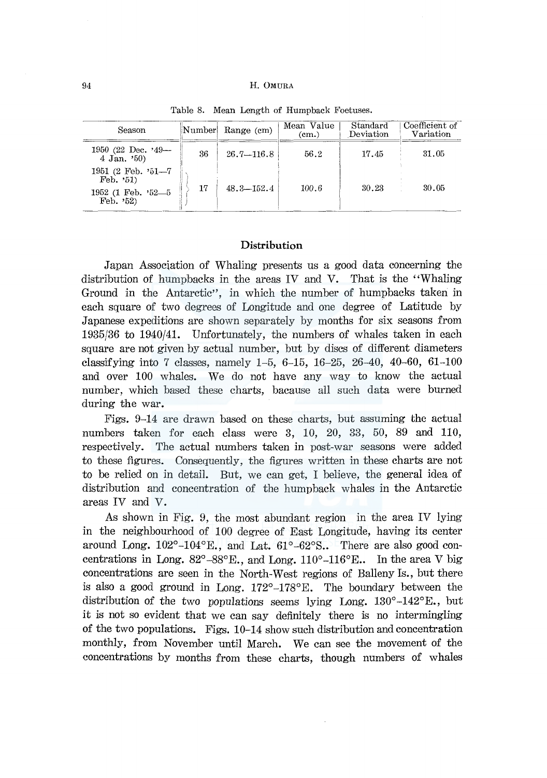| Season                                                                      | Number | Range (cm)     | Mean Value<br>(cm.) | Standard<br>Deviation | Coefficient of<br>Variation |
|-----------------------------------------------------------------------------|--------|----------------|---------------------|-----------------------|-----------------------------|
| 1950 (22 Dec. $39-$<br>4 Jan. $50$                                          | 36     | $26.7 - 116.8$ | 56.2                | 17.45                 | 31.05                       |
| 1951 (2 Feb. '51-7<br>Feb. $51$<br>1952 (1 Feb. '52-5<br>$\text{Feb. } 52)$ | 17     | $48.3 - 152.4$ | 100.6               | 30.23                 | 30.05                       |

Table 8. Mean Length of Humpback Foetuses.

# **Distribution**

Japan Association of Whaling presents us a good data concerning the distribution of humpbacks in the areas IV and V. That is the "Whaling Ground in the Antarctic", in which the number of humpbacks taken in each square of two degrees of Longitude and one degree of Latitude by Japanese expeditions are shown separately by months for six seasons from 1935/36 to 1940/41. Unfortunately, the numbers of whales taken in each square are not given by actual number, but by discs of different diameters classifying into 7 classes, namely  $1-5$ ,  $6-15$ ,  $16-25$ ,  $26-40$ ,  $40-60$ ,  $61-100$ and over 100 whales. We do not have any way to know the actual number, which based these charts, bacause all such data were burned during the war.

Figs. 9-14 are drawn based on these charts, but assuming the actual numbers taken for each class were 3, 10, 20, 33, 50, 89 and 110, respectively. The actual numbers taken in post-war seasons were added to these figures. Consequently, the figures written in these charts are not to be relied on in detail. But, we can get, I believe, the general idea of distribution and concentration of the humpback whales in the Antarctic areas IV and V.

As shown in Fig. 9, the most abundant region in the area IV lying in the neighbourhood of 100 degree of East Longitude, having its center around Long.  $102^{\circ}-104^{\circ}$ E., and Lat.  $61^{\circ}-62^{\circ}$ S.. There are also good concentrations in Long.  $82^{\circ} - 88^{\circ}$  E., and Long. 110°-116°E.. In the area V big concentrations are seen in the North-West regions of Balleny Is., but there is also a good ground in Long.  $172^{\circ} - 178^{\circ}$  E. The boundary between the distribution of the two populations seems lying Long.  $130^{\circ}$ -142 $^{\circ}$ E., but it is not so evident that we can say definitely there is no intermingling of the two populations. Figs. 10-14 show such distribution and concentration monthly, from November until March. We can see the movement of the concentrations by months from these charts, though numbers of whales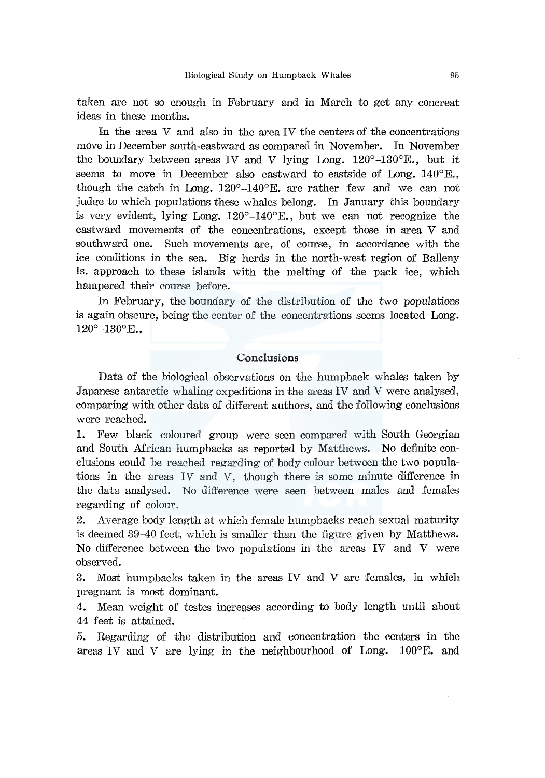taken are not so enough in February and in March to get any concreat ideas in these months.

In the area V and also in the area IV the centers of the concentrations move in December south-eastward as compared in November. In November the boundary between areas IV and V lying Long.  $120^{\circ}$ -130<sup>o</sup>E., but it seems to move in December also eastward to eastside of Long. 140°E., though the catch in Long.  $120^{\circ}$ -140<sup>o</sup>E. are rather few and we can not judge to which populations these whales belong. In January this boundary is very evident, lying Long.  $120^{\circ} - 140^{\circ}$ E., but we can not recognize the eastward movements of the concentrations, except those in area V and southward one. Such movements are, of course, in accordance with the ice conditions in the sea. Big herds in the north-west region of Balleny Is. approach to these islands with the melting of the pack ice, which hampered their course before.

In February, the boundary of the distribution of the two populations is again obscure, being the center of the concentrations seems located Long.  $120^{\circ}-130^{\circ}$ E..

## Conclusions

Data of the biological observations on the humpback whales taken by Japanese antarctic whaling expeditions in the areas IV and V were analysed, comparing with other data of different authors, and the following conclusions were reached.

1. Few black coloured group were seen compared with South Georgian and South African humpbacks as reported by Matthews. No definite conclusions could be reached regarding of body colour between the two populations in the areas IV and V, though there is some minute difference in the data analysed. No difference were seen between males and females regarding of colour.

2. Average body length at which female humpbacks reach sexual maturity is deemed 39-40 feet, which is smaller than the figure given by Matthews. No difference between the two populations in the areas IV and V were observed.

3. Most humpbacks taken in the areas IV and V are females, in which pregnant is most dominant.

4. Mean weight of testes increases according to body length until about 44 feet is attained.

5. Regarding of the distribution and concentration the centers in the areas IV and V are lying in the neighbourhood of Long. 100°E. and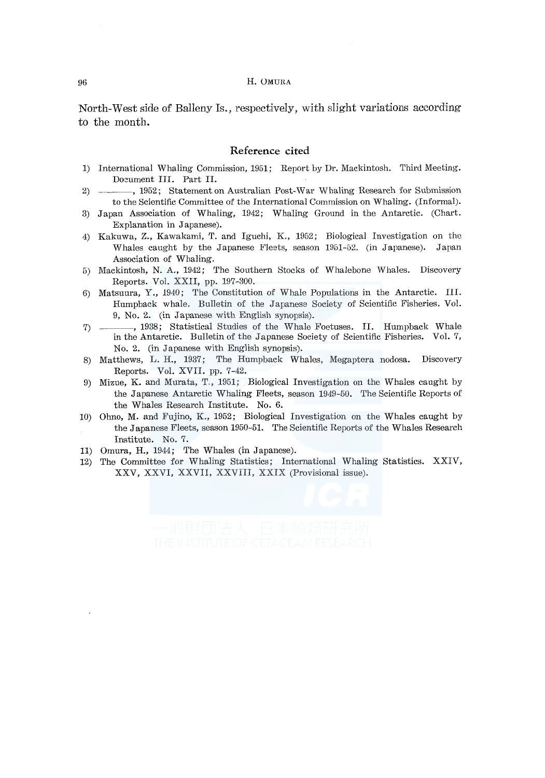North-West side of Balleny Is., respectively, with slight variations according to the month.

#### **Reference cited**

- 1) International Whaling Commission, 1951; Report by Dr. Mackintosh. Third Meeting. Document III. Part II.
- 2) -----, 1952; Statement on Australian Post-War Whaling Research for Submission to the Scientific Committee of the International Commission on Whaling. (Informal).
- 3) Japan Association of Whaling, 1942; Whaling Ground in the Antarctic. (Chart. Explanation in Japanese).
- 4) Kaknwa, z., Kawakami, T. and Iguchi, K., 1952; Biological Investigation on the Whales caught by the Japanese Fleets, season 1951-52. (in Japanese). Japan Association of Whaling.
- 5) .Mackintosh, N. A., 1942; The Southern Stocks of Whalebone Whales. Discovery Reports. Vol. XXII, pp. 197-300.
- 6) Matsuura, Y., 1940; The Constitution of Whale Populations in the Antarctic. III. Humpback whale. Bulletin of the Japanese Society of Scientific Fisheries. Vol. 9, No. 2. (in Japanese with English synopsis).
- 7) , 1938; Statistical Studies of the Whale Foetuses. II. Humpback Whale in the Antarctic. Bulletin of the Japanese Society of Scientific Fisheries. Vol. 7, No. 2. (in Japanese with English synopsis).
- 8) Matthews, L. H., 1937; The Humpback Whales, Megaptera nodosa. Discovery Reports. Vol. XVII. pp. 7-42.
- 9) Mizue, K. and Murata, T., 1951; Biological Investigation on the Whales caught by the Japanese Antarctic Whaling Fleets, season 1949-50. The Scientific Reports of the Whales Research Institute. No. 6.
- 10) Ohno, M. and Fujino, K., 1952; Biological Investigation on the Whales caught by the Japanese Fleets, season 1950-51. The Scientific Reports of the Whales Research Institute. No. 7.
- 11) Omura, H., 1944; The Whales (in Japanese).
- 12) The Committee for Whaling Statistics; International Whaling Statistics. XXIV, XXV, XXVI, XXVII, XXVIII, XXIX (Provisional issue).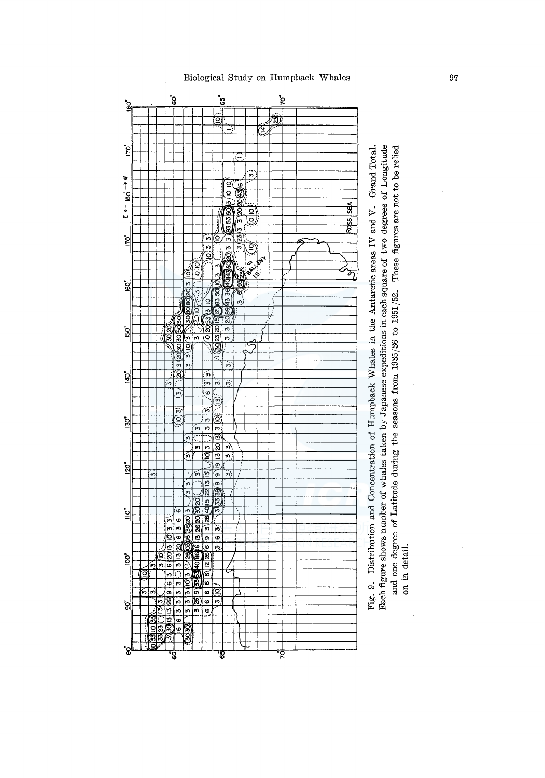್ಧಿ  $\frac{65}{6}$ ្ភៃ ₹ Each figure shows number of whales taken by Japanese expeditions in each square of two degrees of Longitude Fig. 9. Distribution and Concentration of Humpback Whales in the Antarctic areas IV and V. Grand Total. å  $w \leftarrow 98$ ņ ₫ .<br>ت ত  $\frac{1}{2}$ io<br>Ig স্বিত্<mark>য ছোগ্ৰীয</mark>়ে হৈছি ò Б (⊙ ಗ े<br>ज़ ٦ ŀю ĝ ē ⅀  $\frac{1}{2}$ ပ္စဲ ₫  $\sqrt{10}$  হত্রি **Solution**  $\overline{5}$ è, 3050E  $\overline{r}$ ᅲ <u>(၈</u> ଟ୍ଲି  $\frac{1}{2}$  $\frac{1}{2}$ क ģ  $\overline{\mathfrak{m}}$  $\frac{1}{2}$  $\frac{1}{2}$  $\frac{1}{2}$  $\frac{1}{2}$ Œ  $\frac{3}{5}$  $\overline{\phantom{a}}$  $\frac{1}{2}$ <u>ତି</u>)<br>ଂ ू ပ္စု  $\frac{1}{2}$  $\overline{5}$ m ļδ  $2013$  $\mathbf{\hat{g}}$ ō  $\overline{\phantom{0}}$  $3/00/3$  $\frac{1}{2}$  (3)  $\overline{\cdot}$  $\overline{ }$ o 33300336<br>0305132896<br>0633333 ا 9 ⋐  $\frac{1}{3}$  $\bullet$ ີຣ  $\bullet$ 阎 ৰ<br>প্ৰ Ġ তু

# and one degree of Latitude during the seasons from  $1935/36$  to  $1951/52$ . These figures are not to be relied on in detail.

## Biological Study on Humpback Whales

97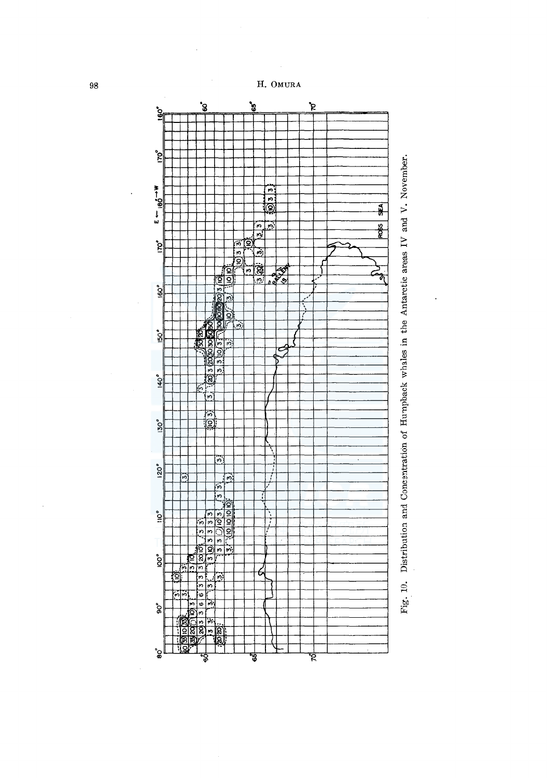



l,

 $\ddot{\phantom{0}}$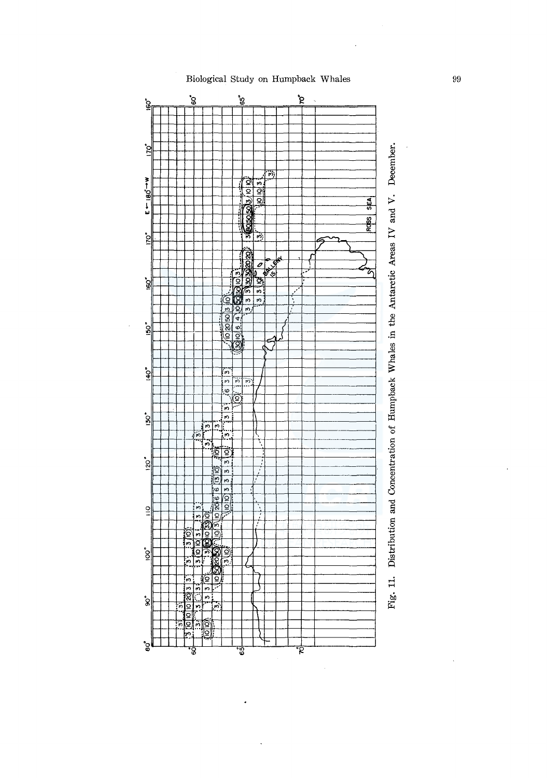

# Biological Study on Humpback Whales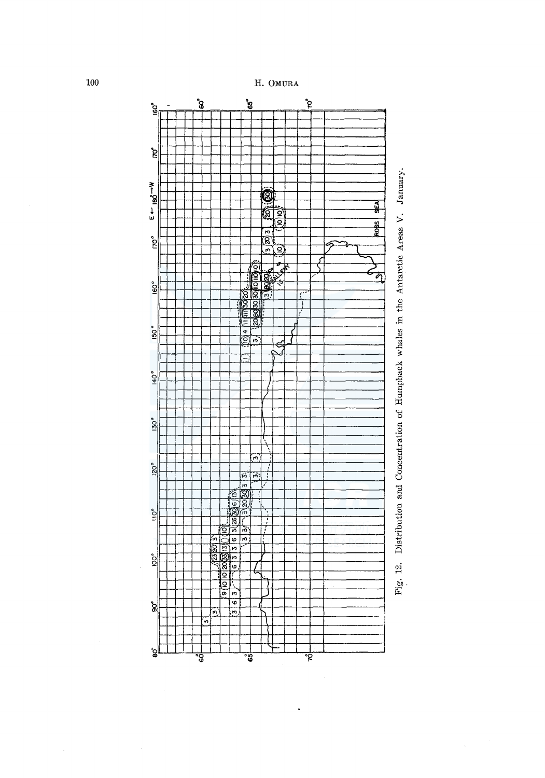



100

 $\bar{z}$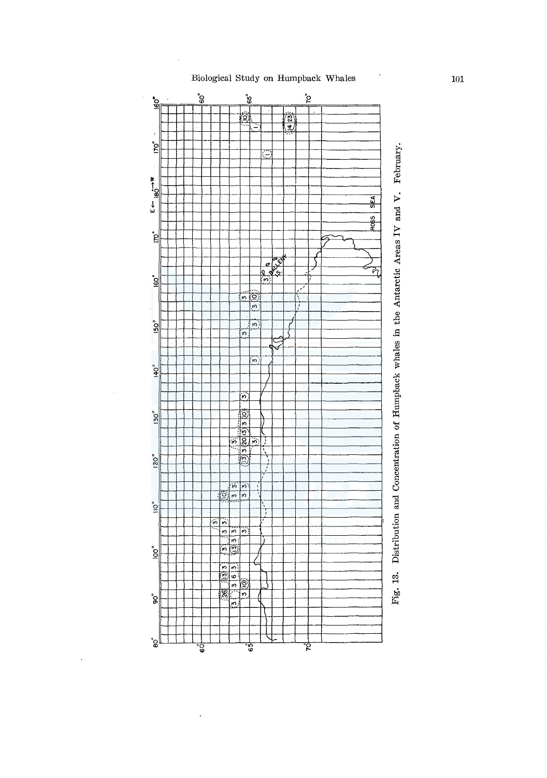# Biological Study on Humpback Whales